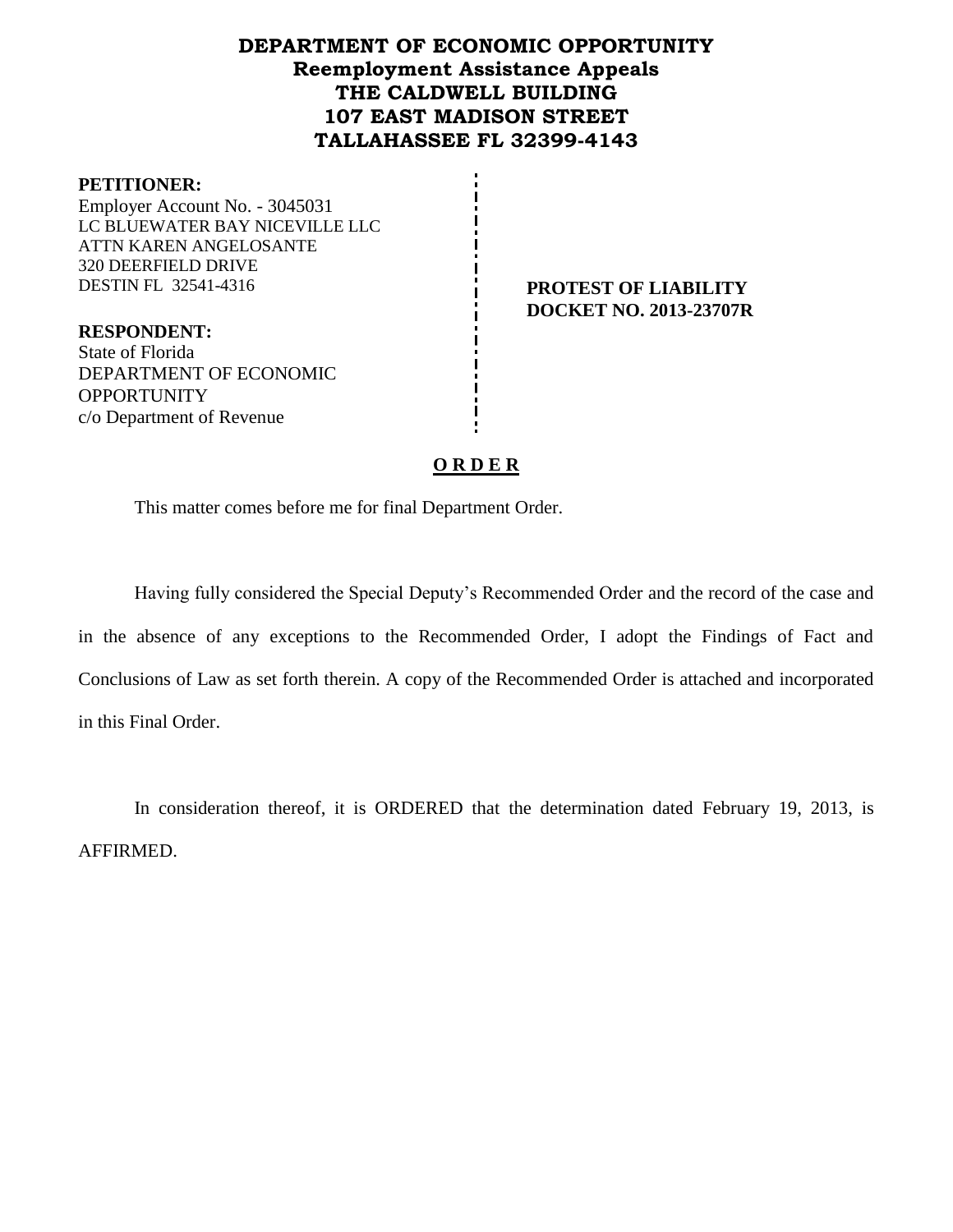## **DEPARTMENT OF ECONOMIC OPPORTUNITY Reemployment Assistance Appeals THE CALDWELL BUILDING 107 EAST MADISON STREET TALLAHASSEE FL 32399-4143**

#### **PETITIONER:**

Employer Account No. - 3045031 LC BLUEWATER BAY NICEVILLE LLC ATTN KAREN ANGELOSANTE 320 DEERFIELD DRIVE DESTIN FL 32541-4316 **PROTEST OF LIABILITY**

**DOCKET NO. 2013-23707R**

**RESPONDENT:** State of Florida DEPARTMENT OF ECONOMIC **OPPORTUNITY** c/o Department of Revenue

#### **O R D E R**

This matter comes before me for final Department Order.

Having fully considered the Special Deputy's Recommended Order and the record of the case and in the absence of any exceptions to the Recommended Order, I adopt the Findings of Fact and Conclusions of Law as set forth therein. A copy of the Recommended Order is attached and incorporated in this Final Order.

In consideration thereof, it is ORDERED that the determination dated February 19, 2013, is AFFIRMED.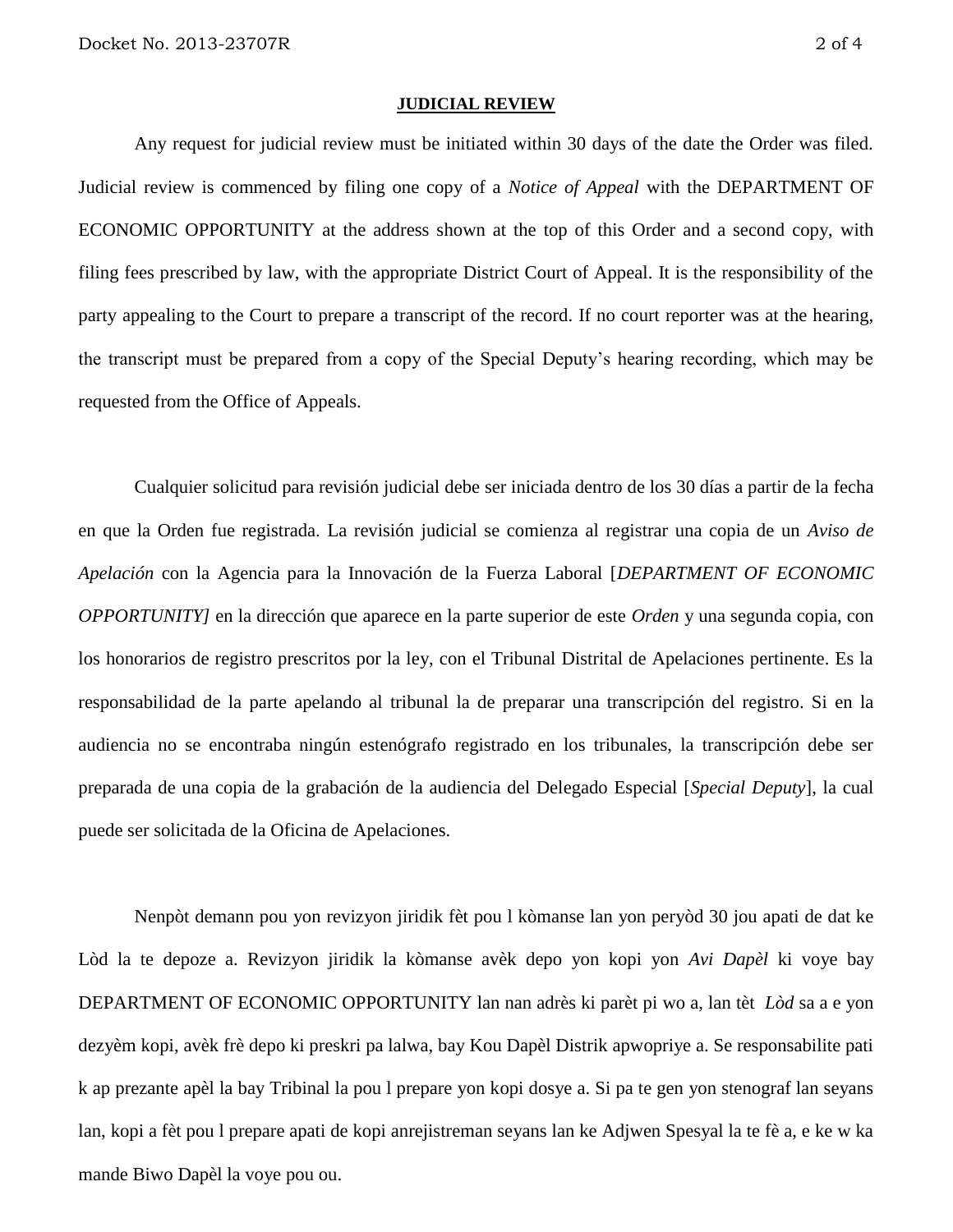#### **JUDICIAL REVIEW**

Any request for judicial review must be initiated within 30 days of the date the Order was filed. Judicial review is commenced by filing one copy of a *Notice of Appeal* with the DEPARTMENT OF ECONOMIC OPPORTUNITY at the address shown at the top of this Order and a second copy, with filing fees prescribed by law, with the appropriate District Court of Appeal. It is the responsibility of the party appealing to the Court to prepare a transcript of the record. If no court reporter was at the hearing, the transcript must be prepared from a copy of the Special Deputy's hearing recording, which may be requested from the Office of Appeals.

Cualquier solicitud para revisión judicial debe ser iniciada dentro de los 30 días a partir de la fecha en que la Orden fue registrada. La revisión judicial se comienza al registrar una copia de un *Aviso de Apelación* con la Agencia para la Innovación de la Fuerza Laboral [*DEPARTMENT OF ECONOMIC OPPORTUNITY]* en la dirección que aparece en la parte superior de este *Orden* y una segunda copia, con los honorarios de registro prescritos por la ley, con el Tribunal Distrital de Apelaciones pertinente. Es la responsabilidad de la parte apelando al tribunal la de preparar una transcripción del registro. Si en la audiencia no se encontraba ningún estenógrafo registrado en los tribunales, la transcripción debe ser preparada de una copia de la grabación de la audiencia del Delegado Especial [*Special Deputy*], la cual puede ser solicitada de la Oficina de Apelaciones.

Nenpòt demann pou yon revizyon jiridik fèt pou l kòmanse lan yon peryòd 30 jou apati de dat ke Lòd la te depoze a. Revizyon jiridik la kòmanse avèk depo yon kopi yon *Avi Dapèl* ki voye bay DEPARTMENT OF ECONOMIC OPPORTUNITY lan nan adrès ki parèt pi wo a, lan tèt *Lòd* sa a e yon dezyèm kopi, avèk frè depo ki preskri pa lalwa, bay Kou Dapèl Distrik apwopriye a. Se responsabilite pati k ap prezante apèl la bay Tribinal la pou l prepare yon kopi dosye a. Si pa te gen yon stenograf lan seyans lan, kopi a fèt pou l prepare apati de kopi anrejistreman seyans lan ke Adjwen Spesyal la te fè a, e ke w ka mande Biwo Dapèl la voye pou ou.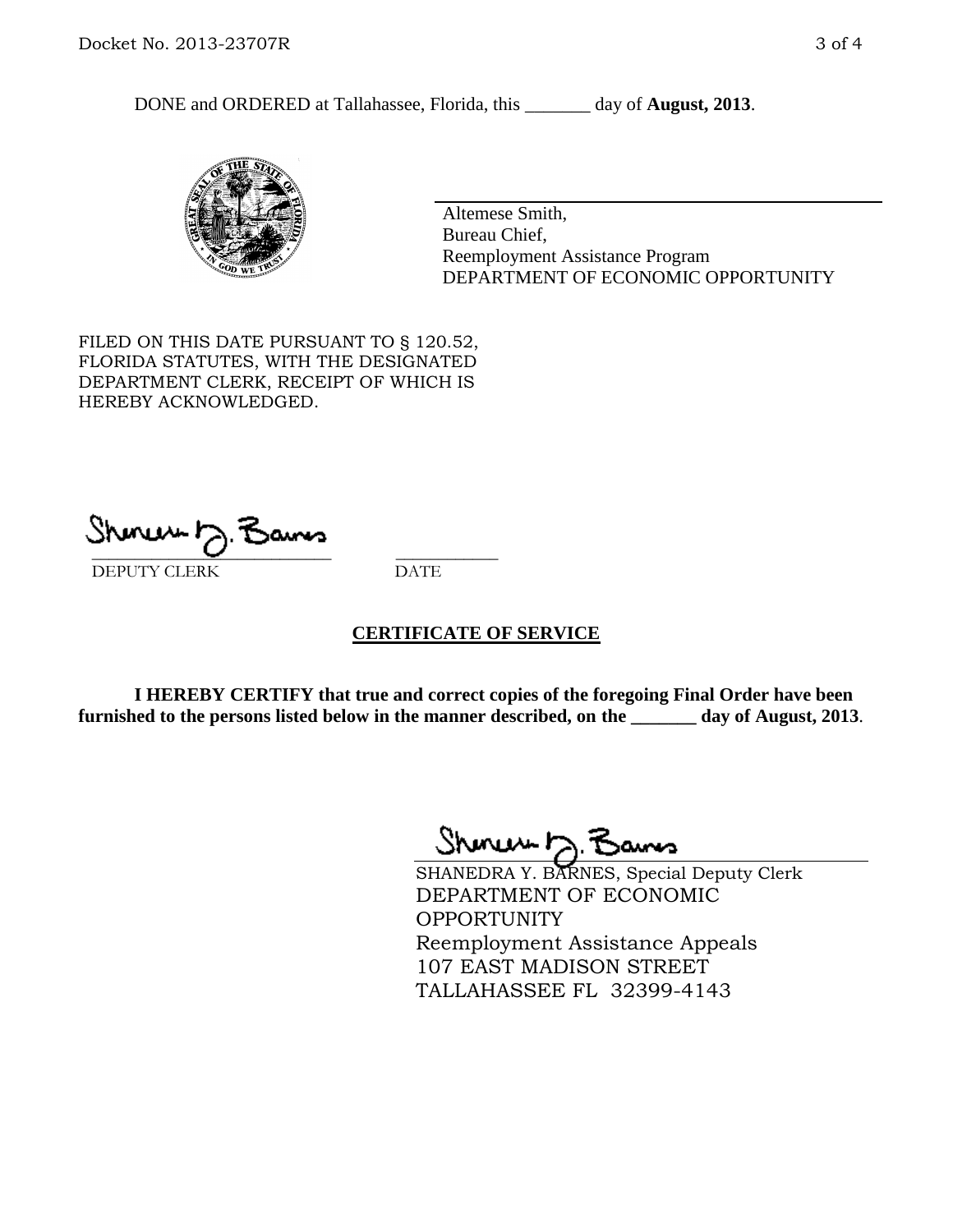DONE and ORDERED at Tallahassee, Florida, this \_\_\_\_\_\_\_ day of **August, 2013**.



Altemese Smith, Bureau Chief, Reemployment Assistance Program DEPARTMENT OF ECONOMIC OPPORTUNITY

FILED ON THIS DATE PURSUANT TO § 120.52, FLORIDA STATUTES, WITH THE DESIGNATED DEPARTMENT CLERK, RECEIPT OF WHICH IS HEREBY ACKNOWLEDGED.

 $\overline{\phantom{a}}$  ,  $\overline{\phantom{a}}$  ,  $\overline{\phantom{a}}$  ,  $\overline{\phantom{a}}$  ,  $\overline{\phantom{a}}$  ,  $\overline{\phantom{a}}$  ,  $\overline{\phantom{a}}$  ,  $\overline{\phantom{a}}$ DEPUTY CLERK DATE

#### **CERTIFICATE OF SERVICE**

**I HEREBY CERTIFY that true and correct copies of the foregoing Final Order have been furnished to the persons listed below in the manner described, on the \_\_\_\_\_\_\_ day of August, 2013**.

Shinew b.F

SHANEDRA Y. BARNES, Special Deputy Clerk DEPARTMENT OF ECONOMIC OPPORTUNITY Reemployment Assistance Appeals 107 EAST MADISON STREET TALLAHASSEE FL 32399-4143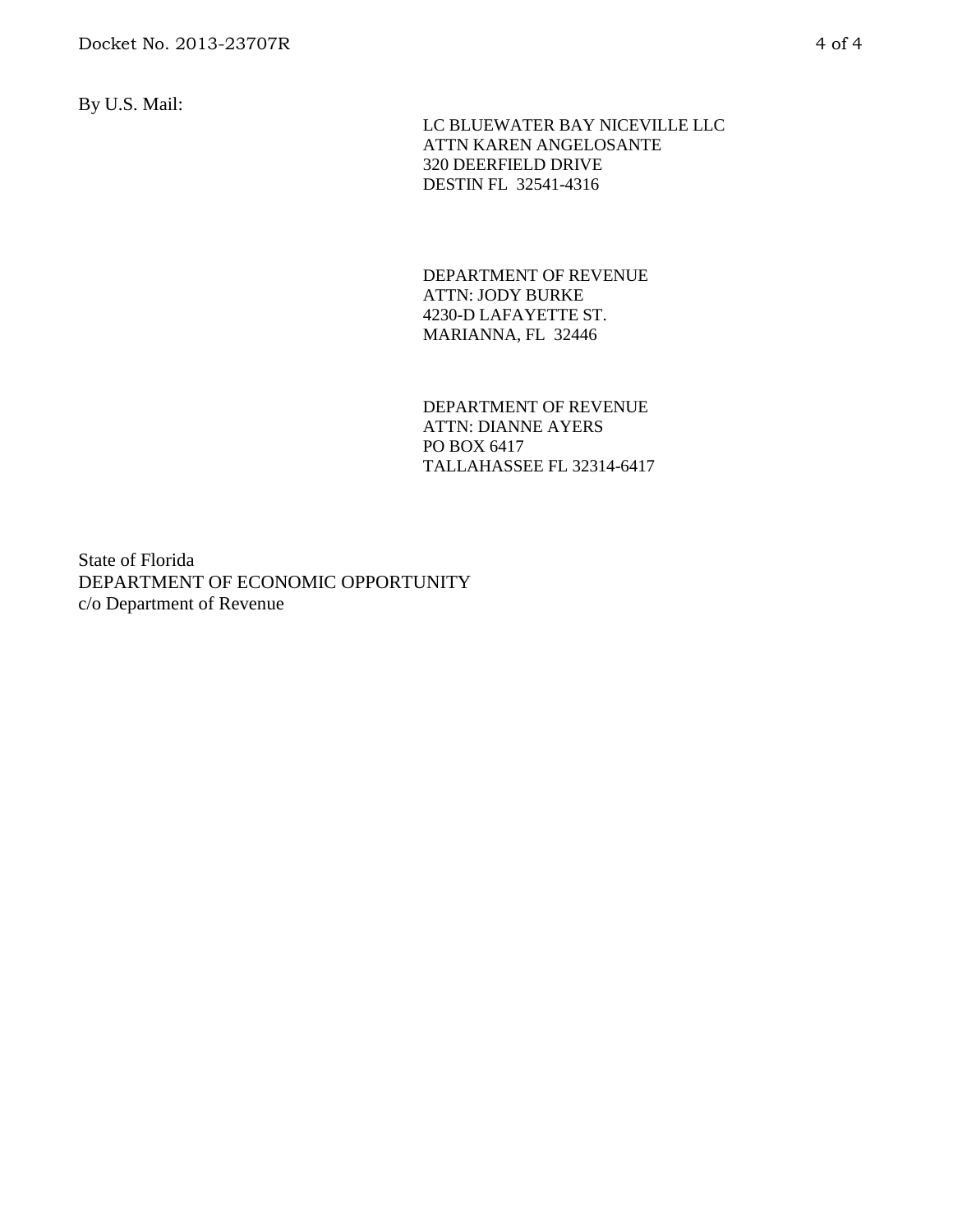By U.S. Mail:

 LC BLUEWATER BAY NICEVILLE LLC ATTN KAREN ANGELOSANTE 320 DEERFIELD DRIVE DESTIN FL 32541-4316

DEPARTMENT OF REVENUE ATTN: JODY BURKE 4230-D LAFAYETTE ST. MARIANNA, FL 32446

DEPARTMENT OF REVENUE ATTN: DIANNE AYERS PO BOX 6417 TALLAHASSEE FL 32314-6417

State of Florida DEPARTMENT OF ECONOMIC OPPORTUNITY c/o Department of Revenue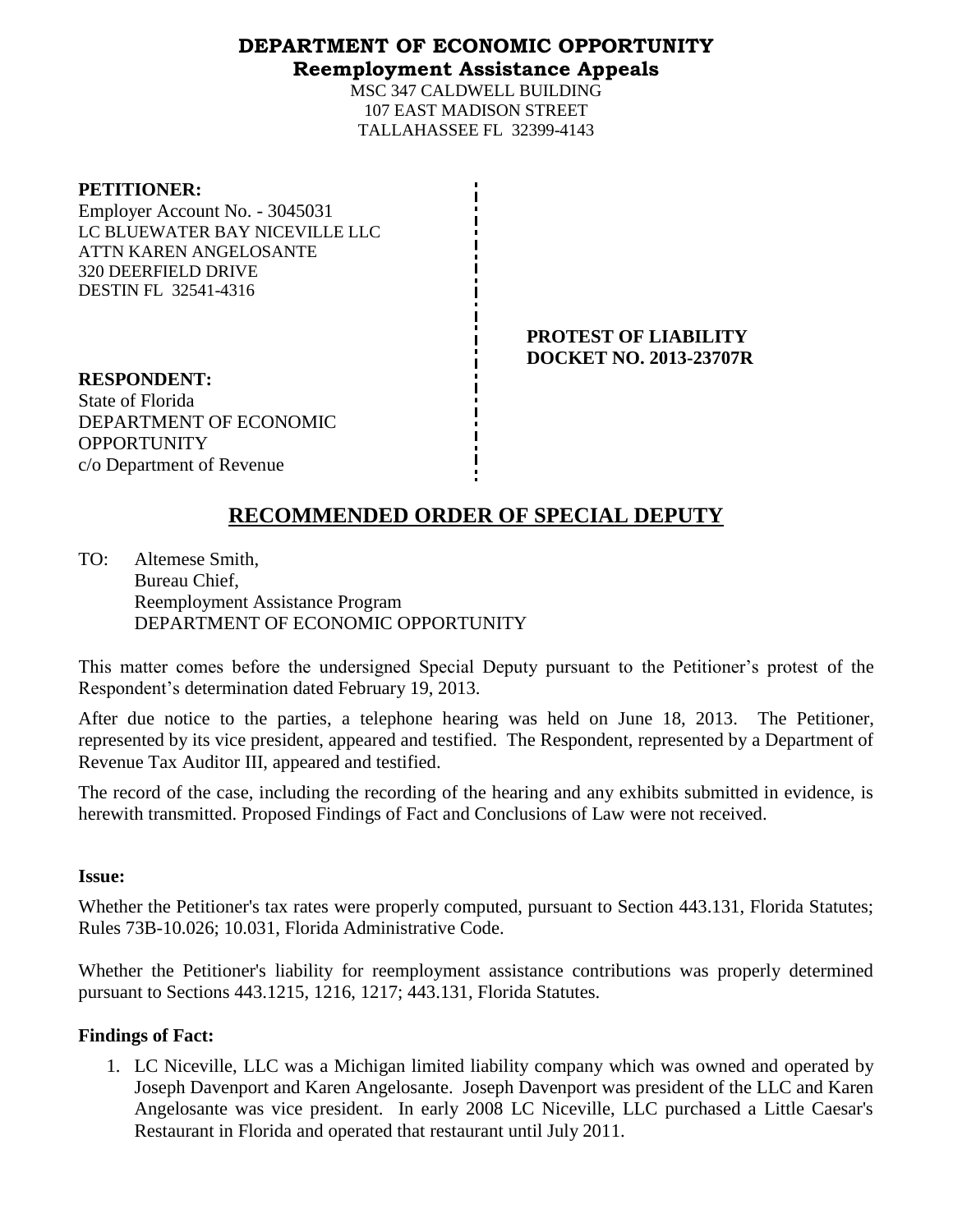#### **DEPARTMENT OF ECONOMIC OPPORTUNITY Reemployment Assistance Appeals**

MSC 347 CALDWELL BUILDING 107 EAST MADISON STREET TALLAHASSEE FL 32399-4143

| <b>PETITIONER:</b>             |  |
|--------------------------------|--|
| Employer Account No. - 3045031 |  |
| LC BLUEWATER BAY NICEVILLE LLC |  |
| ATTN KAREN ANGELOSANTE         |  |
| 320 DEERFIELD DRIVE            |  |
| <b>DESTIN FL 32541-4316</b>    |  |

**PROTEST OF LIABILITY DOCKET NO. 2013-23707R**

**RESPONDENT:** State of Florida DEPARTMENT OF ECONOMIC **OPPORTUNITY** c/o Department of Revenue

# **RECOMMENDED ORDER OF SPECIAL DEPUTY**

TO: Altemese Smith, Bureau Chief, Reemployment Assistance Program DEPARTMENT OF ECONOMIC OPPORTUNITY

This matter comes before the undersigned Special Deputy pursuant to the Petitioner's protest of the Respondent's determination dated February 19, 2013.

After due notice to the parties, a telephone hearing was held on June 18, 2013. The Petitioner, represented by its vice president, appeared and testified. The Respondent, represented by a Department of Revenue Tax Auditor III, appeared and testified.

The record of the case, including the recording of the hearing and any exhibits submitted in evidence, is herewith transmitted. Proposed Findings of Fact and Conclusions of Law were not received.

#### **Issue:**

Whether the Petitioner's tax rates were properly computed, pursuant to Section 443.131, Florida Statutes; Rules 73B-10.026; 10.031, Florida Administrative Code.

Whether the Petitioner's liability for reemployment assistance contributions was properly determined pursuant to Sections 443.1215, 1216, 1217; 443.131, Florida Statutes.

## **Findings of Fact:**

1. LC Niceville, LLC was a Michigan limited liability company which was owned and operated by Joseph Davenport and Karen Angelosante. Joseph Davenport was president of the LLC and Karen Angelosante was vice president. In early 2008 LC Niceville, LLC purchased a Little Caesar's Restaurant in Florida and operated that restaurant until July 2011.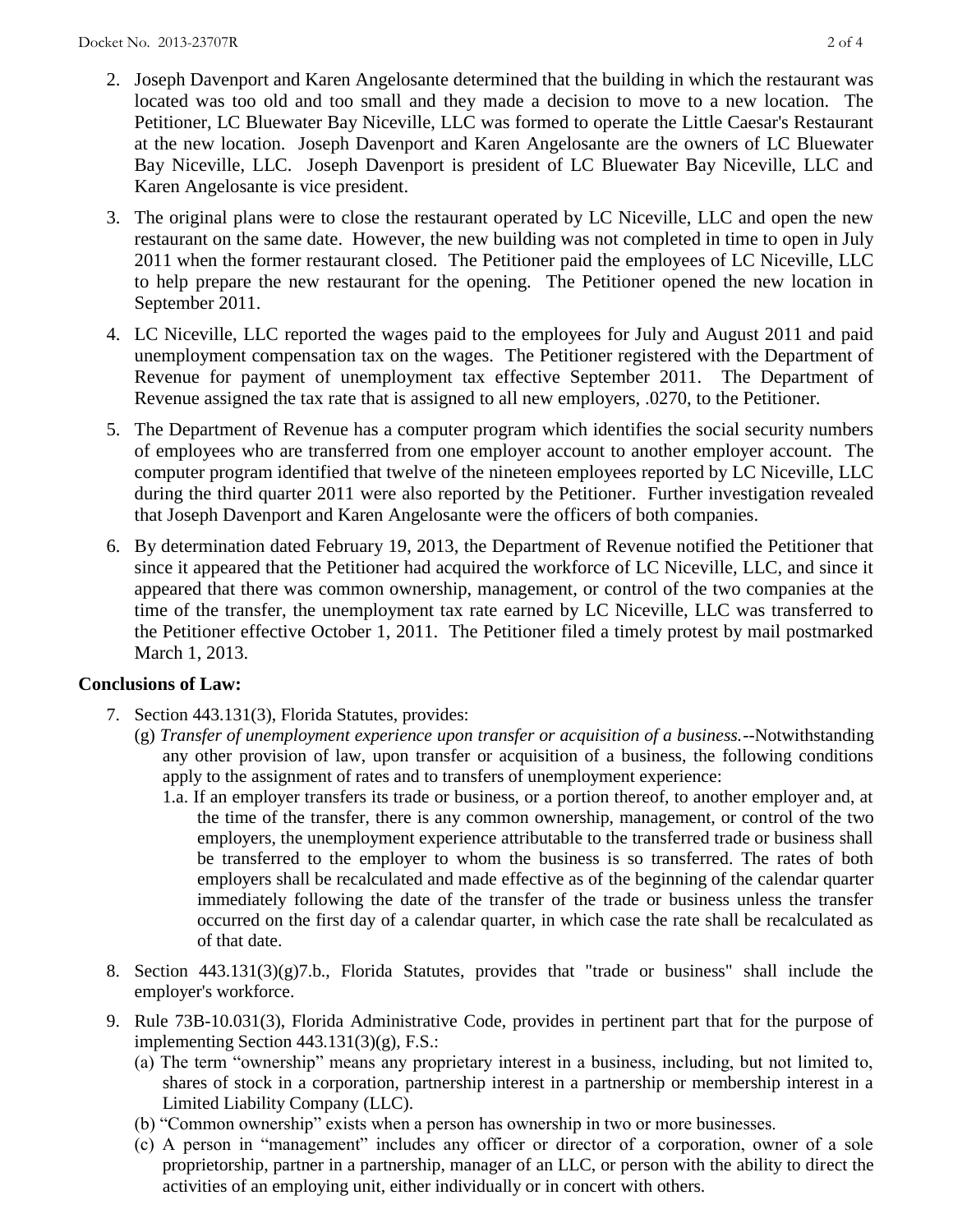- 2. Joseph Davenport and Karen Angelosante determined that the building in which the restaurant was located was too old and too small and they made a decision to move to a new location. The Petitioner, LC Bluewater Bay Niceville, LLC was formed to operate the Little Caesar's Restaurant at the new location. Joseph Davenport and Karen Angelosante are the owners of LC Bluewater Bay Niceville, LLC. Joseph Davenport is president of LC Bluewater Bay Niceville, LLC and Karen Angelosante is vice president.
- 3. The original plans were to close the restaurant operated by LC Niceville, LLC and open the new restaurant on the same date. However, the new building was not completed in time to open in July 2011 when the former restaurant closed. The Petitioner paid the employees of LC Niceville, LLC to help prepare the new restaurant for the opening. The Petitioner opened the new location in September 2011.
- 4. LC Niceville, LLC reported the wages paid to the employees for July and August 2011 and paid unemployment compensation tax on the wages. The Petitioner registered with the Department of Revenue for payment of unemployment tax effective September 2011. The Department of Revenue assigned the tax rate that is assigned to all new employers, .0270, to the Petitioner.
- 5. The Department of Revenue has a computer program which identifies the social security numbers of employees who are transferred from one employer account to another employer account. The computer program identified that twelve of the nineteen employees reported by LC Niceville, LLC during the third quarter 2011 were also reported by the Petitioner. Further investigation revealed that Joseph Davenport and Karen Angelosante were the officers of both companies.
- 6. By determination dated February 19, 2013, the Department of Revenue notified the Petitioner that since it appeared that the Petitioner had acquired the workforce of LC Niceville, LLC, and since it appeared that there was common ownership, management, or control of the two companies at the time of the transfer, the unemployment tax rate earned by LC Niceville, LLC was transferred to the Petitioner effective October 1, 2011. The Petitioner filed a timely protest by mail postmarked March 1, 2013.

## **Conclusions of Law:**

- 7. Section 443.131(3), Florida Statutes, provides:
	- (g) *Transfer of unemployment experience upon transfer or acquisition of a business.*--Notwithstanding any other provision of law, upon transfer or acquisition of a business, the following conditions apply to the assignment of rates and to transfers of unemployment experience:
		- 1.a. If an employer transfers its trade or business, or a portion thereof, to another employer and, at the time of the transfer, there is any common ownership, management, or control of the two employers, the unemployment experience attributable to the transferred trade or business shall be transferred to the employer to whom the business is so transferred. The rates of both employers shall be recalculated and made effective as of the beginning of the calendar quarter immediately following the date of the transfer of the trade or business unless the transfer occurred on the first day of a calendar quarter, in which case the rate shall be recalculated as of that date.
- 8. Section 443.131(3)(g)7.b., Florida Statutes, provides that "trade or business" shall include the employer's workforce.
- 9. Rule 73B-10.031(3), Florida Administrative Code, provides in pertinent part that for the purpose of implementing Section 443.131(3)(g), F.S.:
	- (a) The term "ownership" means any proprietary interest in a business, including, but not limited to, shares of stock in a corporation, partnership interest in a partnership or membership interest in a Limited Liability Company (LLC).
	- (b) "Common ownership" exists when a person has ownership in two or more businesses.
	- (c) A person in "management" includes any officer or director of a corporation, owner of a sole proprietorship, partner in a partnership, manager of an LLC, or person with the ability to direct the activities of an employing unit, either individually or in concert with others.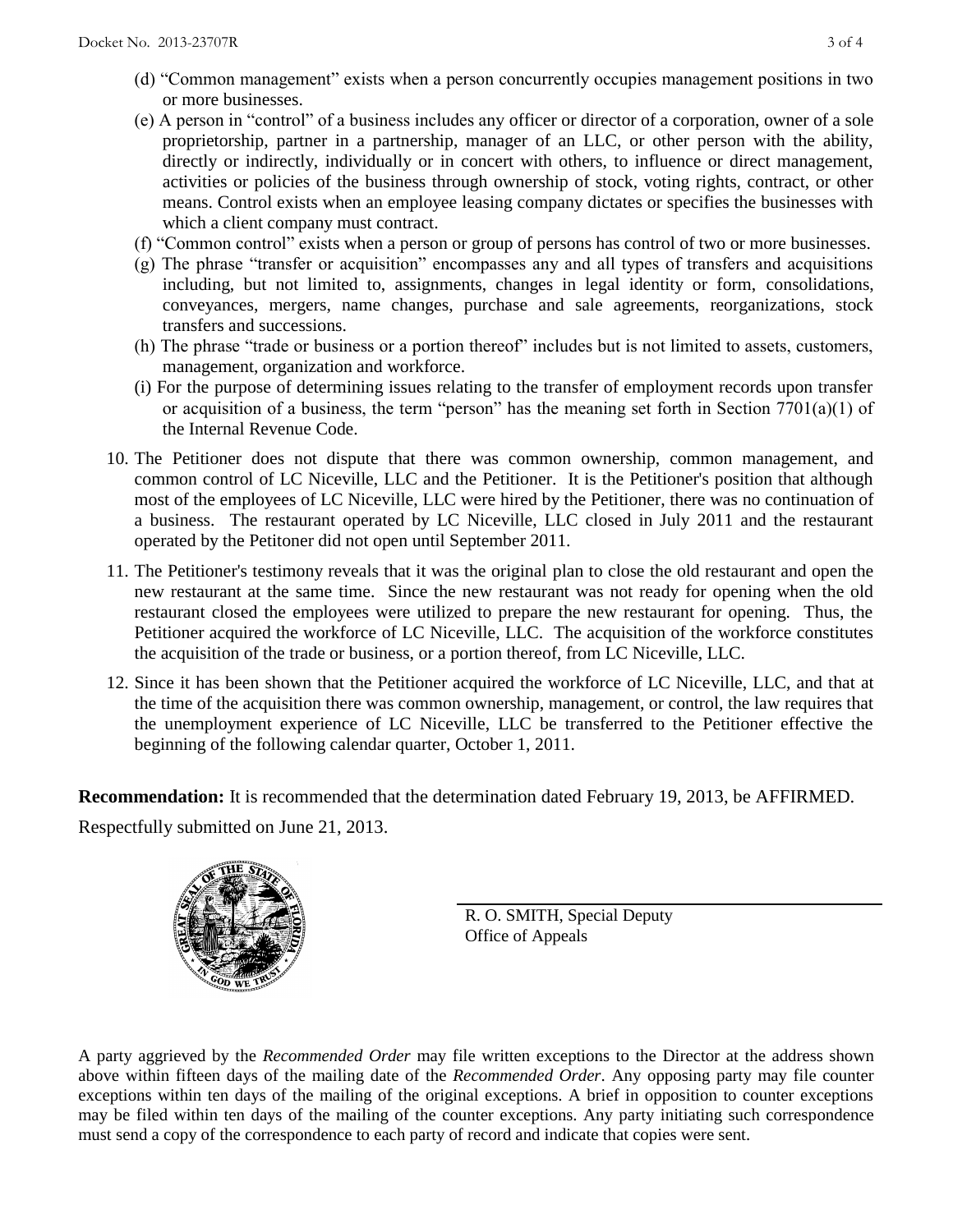- (d) "Common management" exists when a person concurrently occupies management positions in two or more businesses.
- (e) A person in "control" of a business includes any officer or director of a corporation, owner of a sole proprietorship, partner in a partnership, manager of an LLC, or other person with the ability, directly or indirectly, individually or in concert with others, to influence or direct management, activities or policies of the business through ownership of stock, voting rights, contract, or other means. Control exists when an employee leasing company dictates or specifies the businesses with which a client company must contract.
- (f) "Common control" exists when a person or group of persons has control of two or more businesses.
- (g) The phrase "transfer or acquisition" encompasses any and all types of transfers and acquisitions including, but not limited to, assignments, changes in legal identity or form, consolidations, conveyances, mergers, name changes, purchase and sale agreements, reorganizations, stock transfers and successions.
- (h) The phrase "trade or business or a portion thereof" includes but is not limited to assets, customers, management, organization and workforce.
- (i) For the purpose of determining issues relating to the transfer of employment records upon transfer or acquisition of a business, the term "person" has the meaning set forth in Section 7701(a)(1) of the Internal Revenue Code.
- 10. The Petitioner does not dispute that there was common ownership, common management, and common control of LC Niceville, LLC and the Petitioner. It is the Petitioner's position that although most of the employees of LC Niceville, LLC were hired by the Petitioner, there was no continuation of a business. The restaurant operated by LC Niceville, LLC closed in July 2011 and the restaurant operated by the Petitoner did not open until September 2011.
- 11. The Petitioner's testimony reveals that it was the original plan to close the old restaurant and open the new restaurant at the same time. Since the new restaurant was not ready for opening when the old restaurant closed the employees were utilized to prepare the new restaurant for opening. Thus, the Petitioner acquired the workforce of LC Niceville, LLC. The acquisition of the workforce constitutes the acquisition of the trade or business, or a portion thereof, from LC Niceville, LLC.
- 12. Since it has been shown that the Petitioner acquired the workforce of LC Niceville, LLC, and that at the time of the acquisition there was common ownership, management, or control, the law requires that the unemployment experience of LC Niceville, LLC be transferred to the Petitioner effective the beginning of the following calendar quarter, October 1, 2011.

**Recommendation:** It is recommended that the determination dated February 19, 2013, be AFFIRMED. Respectfully submitted on June 21, 2013.



R. O. SMITH, Special Deputy Office of Appeals

A party aggrieved by the *Recommended Order* may file written exceptions to the Director at the address shown above within fifteen days of the mailing date of the *Recommended Order*. Any opposing party may file counter exceptions within ten days of the mailing of the original exceptions. A brief in opposition to counter exceptions may be filed within ten days of the mailing of the counter exceptions. Any party initiating such correspondence must send a copy of the correspondence to each party of record and indicate that copies were sent.